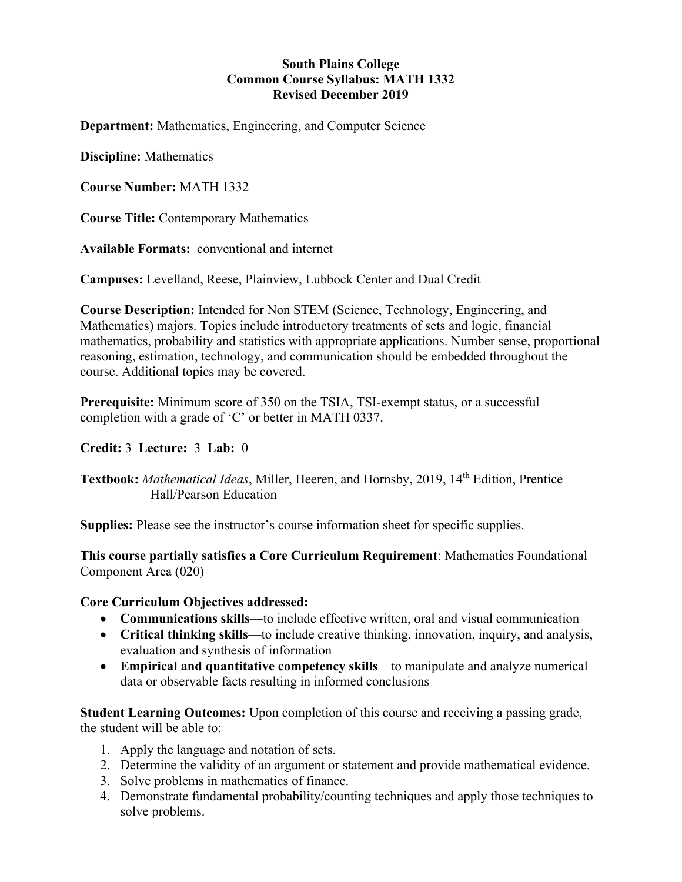#### **South Plains College Common Course Syllabus: MATH 1332 Revised December 2019**

**Department:** Mathematics, Engineering, and Computer Science

**Discipline:** Mathematics

**Course Number:** MATH 1332

**Course Title:** Contemporary Mathematics

**Available Formats:** conventional and internet

**Campuses:** Levelland, Reese, Plainview, Lubbock Center and Dual Credit

**Course Description:** Intended for Non STEM (Science, Technology, Engineering, and Mathematics) majors. Topics include introductory treatments of sets and logic, financial mathematics, probability and statistics with appropriate applications. Number sense, proportional reasoning, estimation, technology, and communication should be embedded throughout the course. Additional topics may be covered.

**Prerequisite:** Minimum score of 350 on the TSIA, TSI-exempt status, or a successful completion with a grade of 'C' or better in MATH 0337.

#### **Credit:** 3 **Lecture:** 3 **Lab:** 0

**Textbook:** *Mathematical Ideas*, Miller, Heeren, and Hornsby, 2019, 14th Edition, Prentice Hall/Pearson Education

**Supplies:** Please see the instructor's course information sheet for specific supplies.

**This course partially satisfies a Core Curriculum Requirement**: Mathematics Foundational Component Area (020)

#### **Core Curriculum Objectives addressed:**

- **Communications skills**—to include effective written, oral and visual communication
- **Critical thinking skills**—to include creative thinking, innovation, inquiry, and analysis, evaluation and synthesis of information
- **Empirical and quantitative competency skills**—to manipulate and analyze numerical data or observable facts resulting in informed conclusions

**Student Learning Outcomes:** Upon completion of this course and receiving a passing grade, the student will be able to:

- 1. Apply the language and notation of sets.
- 2. Determine the validity of an argument or statement and provide mathematical evidence.
- 3. Solve problems in mathematics of finance.
- 4. Demonstrate fundamental probability/counting techniques and apply those techniques to solve problems.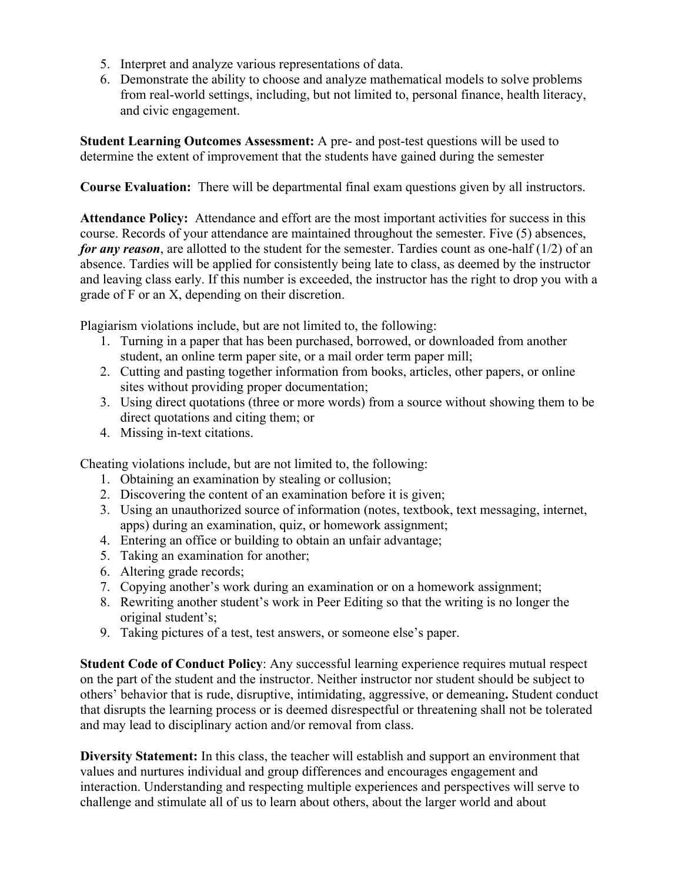- 5. Interpret and analyze various representations of data.
- 6. Demonstrate the ability to choose and analyze mathematical models to solve problems from real-world settings, including, but not limited to, personal finance, health literacy, and civic engagement.

**Student Learning Outcomes Assessment:** A pre- and post-test questions will be used to determine the extent of improvement that the students have gained during the semester

**Course Evaluation:** There will be departmental final exam questions given by all instructors.

**Attendance Policy:** Attendance and effort are the most important activities for success in this course. Records of your attendance are maintained throughout the semester. Five (5) absences, *for any reason*, are allotted to the student for the semester. Tardies count as one-half (1/2) of an absence. Tardies will be applied for consistently being late to class, as deemed by the instructor and leaving class early. If this number is exceeded, the instructor has the right to drop you with a grade of F or an X, depending on their discretion.

Plagiarism violations include, but are not limited to, the following:

- 1. Turning in a paper that has been purchased, borrowed, or downloaded from another student, an online term paper site, or a mail order term paper mill;
- 2. Cutting and pasting together information from books, articles, other papers, or online sites without providing proper documentation;
- 3. Using direct quotations (three or more words) from a source without showing them to be direct quotations and citing them; or
- 4. Missing in-text citations.

Cheating violations include, but are not limited to, the following:

- 1. Obtaining an examination by stealing or collusion;
- 2. Discovering the content of an examination before it is given;
- 3. Using an unauthorized source of information (notes, textbook, text messaging, internet, apps) during an examination, quiz, or homework assignment;
- 4. Entering an office or building to obtain an unfair advantage;
- 5. Taking an examination for another;
- 6. Altering grade records;
- 7. Copying another's work during an examination or on a homework assignment;
- 8. Rewriting another student's work in Peer Editing so that the writing is no longer the original student's;
- 9. Taking pictures of a test, test answers, or someone else's paper.

**Student Code of Conduct Policy**: Any successful learning experience requires mutual respect on the part of the student and the instructor. Neither instructor nor student should be subject to others' behavior that is rude, disruptive, intimidating, aggressive, or demeaning**.** Student conduct that disrupts the learning process or is deemed disrespectful or threatening shall not be tolerated and may lead to disciplinary action and/or removal from class.

**Diversity Statement:** In this class, the teacher will establish and support an environment that values and nurtures individual and group differences and encourages engagement and interaction. Understanding and respecting multiple experiences and perspectives will serve to challenge and stimulate all of us to learn about others, about the larger world and about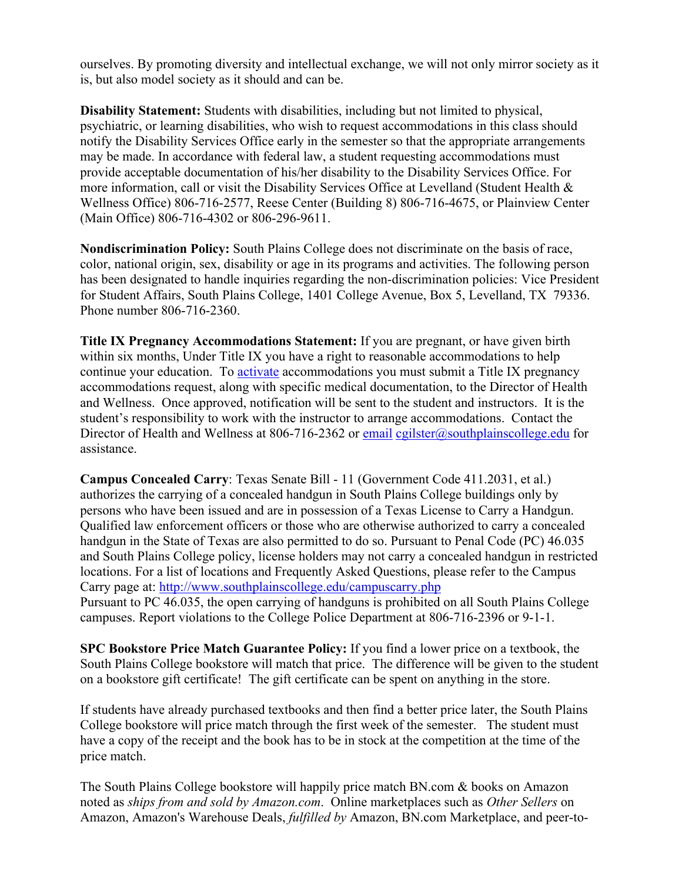ourselves. By promoting diversity and intellectual exchange, we will not only mirror society as it is, but also model society as it should and can be.

**Disability Statement:** Students with disabilities, including but not limited to physical, psychiatric, or learning disabilities, who wish to request accommodations in this class should notify the Disability Services Office early in the semester so that the appropriate arrangements may be made. In accordance with federal law, a student requesting accommodations must provide acceptable documentation of his/her disability to the Disability Services Office. For more information, call or visit the Disability Services Office at Levelland (Student Health & Wellness Office) 806-716-2577, Reese Center (Building 8) 806-716-4675, or Plainview Center (Main Office) 806-716-4302 or 806-296-9611.

**Nondiscrimination Policy:** South Plains College does not discriminate on the basis of race, color, national origin, sex, disability or age in its programs and activities. The following person has been designated to handle inquiries regarding the non-discrimination policies: Vice President for Student Affairs, South Plains College, 1401 College Avenue, Box 5, Levelland, TX 79336. Phone number 806-716-2360.

**Title IX Pregnancy Accommodations Statement:** If you are pregnant, or have given birth within six months, Under Title IX you have a right to reasonable accommodations to help continue your education. To [activate](http://www.southplainscollege.edu/employees/manualshandbooks/facultyhandbook/sec4.php) accommodations you must submit a Title IX pregnancy accommodations request, along with specific medical documentation, to the Director of Health and Wellness. Once approved, notification will be sent to the student and instructors. It is the student's responsibility to work with the instructor to arrange accommodations. Contact the Director of Health and Wellness at 806-716-2362 or [email](http://www.southplainscollege.edu/employees/manualshandbooks/facultyhandbook/sec4.php) [cgilster@southplainscollege.edu](mailto:cgilster@southplainscollege.edu) for assistance.

**Campus Concealed Carry**: Texas Senate Bill - 11 (Government Code 411.2031, et al.) authorizes the carrying of a concealed handgun in South Plains College buildings only by persons who have been issued and are in possession of a Texas License to Carry a Handgun. Qualified law enforcement officers or those who are otherwise authorized to carry a concealed handgun in the State of Texas are also permitted to do so. Pursuant to Penal Code (PC) 46.035 and South Plains College policy, license holders may not carry a concealed handgun in restricted locations. For a list of locations and Frequently Asked Questions, please refer to the Campus Carry page at: <http://www.southplainscollege.edu/campuscarry.php> Pursuant to PC 46.035, the open carrying of handguns is prohibited on all South Plains College campuses. Report violations to the College Police Department at 806-716-2396 or 9-1-1.

**SPC Bookstore Price Match Guarantee Policy:** If you find a lower price on a textbook, the South Plains College bookstore will match that price. The difference will be given to the student on a bookstore gift certificate! The gift certificate can be spent on anything in the store.

If students have already purchased textbooks and then find a better price later, the South Plains College bookstore will price match through the first week of the semester. The student must have a copy of the receipt and the book has to be in stock at the competition at the time of the price match.

The South Plains College bookstore will happily price match BN.com & books on Amazon noted as *ships from and sold by Amazon.com*. Online marketplaces such as *Other Sellers* on Amazon, Amazon's Warehouse Deals, *fulfilled by* Amazon, BN.com Marketplace, and peer-to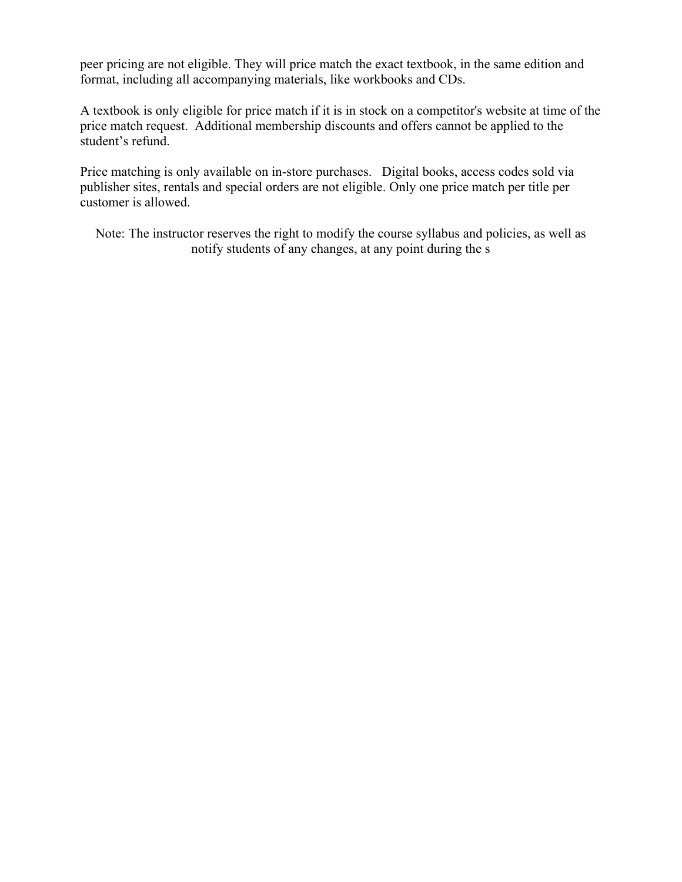peer pricing are not eligible. They will price match the exact textbook, in the same edition and format, including all accompanying materials, like workbooks and CDs.

A textbook is only eligible for price match if it is in stock on a competitor's website at time of the price match request. Additional membership discounts and offers cannot be applied to the student's refund.

Price matching is only available on in-store purchases. Digital books, access codes sold via publisher sites, rentals and special orders are not eligible. Only one price match per title per customer is allowed.

Note: The instructor reserves the right to modify the course syllabus and policies, as well as notify students of any changes, at any point during the s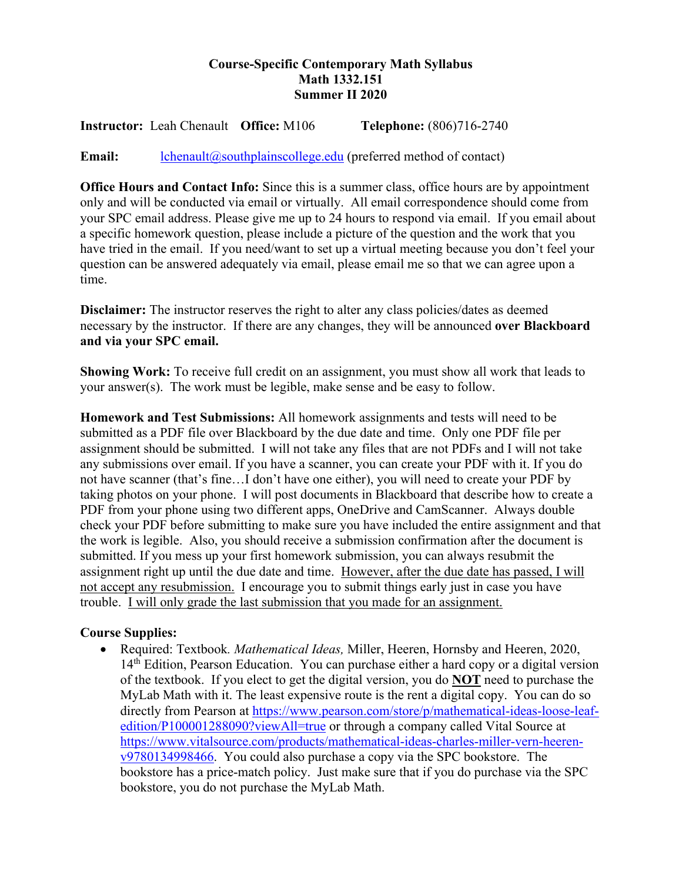## **Course-Specific Contemporary Math Syllabus Math 1332.151 Summer II 2020**

**Instructor:** Leah Chenault **Office:** M106 **Telephone:** (806)716-2740

**Email:** [lchenault@southplainscollege.edu](mailto:lchenault@southplainscollege.edu) (preferred method of contact)

**Office Hours and Contact Info:** Since this is a summer class, office hours are by appointment only and will be conducted via email or virtually. All email correspondence should come from your SPC email address. Please give me up to 24 hours to respond via email. If you email about a specific homework question, please include a picture of the question and the work that you have tried in the email. If you need/want to set up a virtual meeting because you don't feel your question can be answered adequately via email, please email me so that we can agree upon a time.

**Disclaimer:** The instructor reserves the right to alter any class policies/dates as deemed necessary by the instructor. If there are any changes, they will be announced **over Blackboard and via your SPC email.** 

**Showing Work:** To receive full credit on an assignment, you must show all work that leads to your answer(s). The work must be legible, make sense and be easy to follow.

**Homework and Test Submissions:** All homework assignments and tests will need to be submitted as a PDF file over Blackboard by the due date and time. Only one PDF file per assignment should be submitted. I will not take any files that are not PDFs and I will not take any submissions over email. If you have a scanner, you can create your PDF with it. If you do not have scanner (that's fine…I don't have one either), you will need to create your PDF by taking photos on your phone. I will post documents in Blackboard that describe how to create a PDF from your phone using two different apps, OneDrive and CamScanner. Always double check your PDF before submitting to make sure you have included the entire assignment and that the work is legible. Also, you should receive a submission confirmation after the document is submitted. If you mess up your first homework submission, you can always resubmit the assignment right up until the due date and time. However, after the due date has passed, I will not accept any resubmission. I encourage you to submit things early just in case you have trouble. I will only grade the last submission that you made for an assignment.

#### **Course Supplies:**

• Required: Textbook*. Mathematical Ideas,* Miller, Heeren, Hornsby and Heeren, 2020, 14<sup>th</sup> Edition, Pearson Education. You can purchase either a hard copy or a digital version of the textbook. If you elect to get the digital version, you do **NOT** need to purchase the MyLab Math with it. The least expensive route is the rent a digital copy. You can do so directly from Pearson at [https://www.pearson.com/store/p/mathematical-ideas-loose-leaf](https://www.pearson.com/store/p/mathematical-ideas-loose-leaf-edition/P100001288090?viewAll=true)[edition/P100001288090?viewAll=true](https://www.pearson.com/store/p/mathematical-ideas-loose-leaf-edition/P100001288090?viewAll=true) or through a company called Vital Source at [https://www.vitalsource.com/products/mathematical-ideas-charles-miller-vern-heeren](https://www.vitalsource.com/products/mathematical-ideas-charles-miller-vern-heeren-v9780134998466)[v9780134998466.](https://www.vitalsource.com/products/mathematical-ideas-charles-miller-vern-heeren-v9780134998466) You could also purchase a copy via the SPC bookstore. The bookstore has a price-match policy. Just make sure that if you do purchase via the SPC bookstore, you do not purchase the MyLab Math.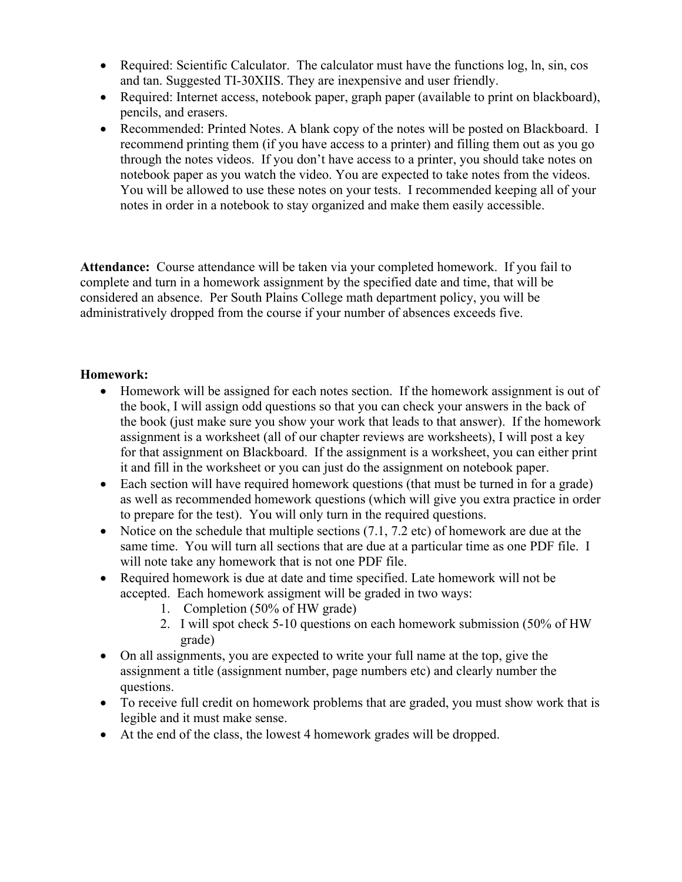- Required: Scientific Calculator. The calculator must have the functions log, ln, sin, cos and tan. Suggested TI-30XIIS. They are inexpensive and user friendly.
- Required: Internet access, notebook paper, graph paper (available to print on blackboard), pencils, and erasers.
- Recommended: Printed Notes. A blank copy of the notes will be posted on Blackboard. I recommend printing them (if you have access to a printer) and filling them out as you go through the notes videos. If you don't have access to a printer, you should take notes on notebook paper as you watch the video. You are expected to take notes from the videos. You will be allowed to use these notes on your tests. I recommended keeping all of your notes in order in a notebook to stay organized and make them easily accessible.

**Attendance:** Course attendance will be taken via your completed homework. If you fail to complete and turn in a homework assignment by the specified date and time, that will be considered an absence. Per South Plains College math department policy, you will be administratively dropped from the course if your number of absences exceeds five.

## **Homework:**

- Homework will be assigned for each notes section. If the homework assignment is out of the book, I will assign odd questions so that you can check your answers in the back of the book (just make sure you show your work that leads to that answer). If the homework assignment is a worksheet (all of our chapter reviews are worksheets), I will post a key for that assignment on Blackboard. If the assignment is a worksheet, you can either print it and fill in the worksheet or you can just do the assignment on notebook paper.
- Each section will have required homework questions (that must be turned in for a grade) as well as recommended homework questions (which will give you extra practice in order to prepare for the test). You will only turn in the required questions.
- Notice on the schedule that multiple sections  $(7.1, 7.2 \text{ etc})$  of homework are due at the same time. You will turn all sections that are due at a particular time as one PDF file. I will note take any homework that is not one PDF file.
- Required homework is due at date and time specified. Late homework will not be accepted. Each homework assigment will be graded in two ways:
	- 1. Completion (50% of HW grade)
	- 2. I will spot check 5-10 questions on each homework submission (50% of HW grade)
- On all assignments, you are expected to write your full name at the top, give the assignment a title (assignment number, page numbers etc) and clearly number the questions.
- To receive full credit on homework problems that are graded, you must show work that is legible and it must make sense.
- At the end of the class, the lowest 4 homework grades will be dropped.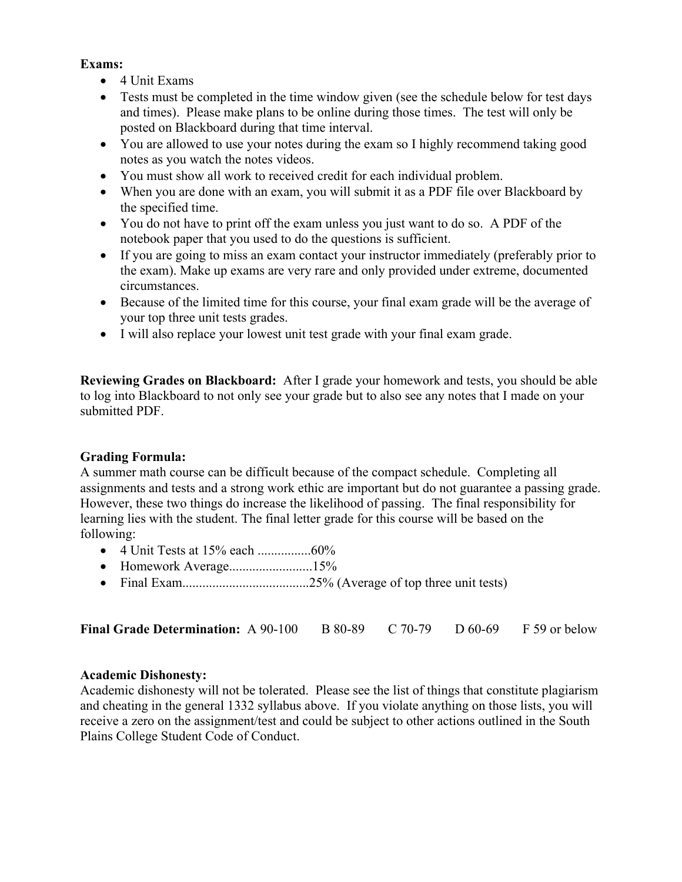## **Exams:**

- 4 Unit Exams
- Tests must be completed in the time window given (see the schedule below for test days and times). Please make plans to be online during those times. The test will only be posted on Blackboard during that time interval.
- You are allowed to use your notes during the exam so I highly recommend taking good notes as you watch the notes videos.
- You must show all work to received credit for each individual problem.
- When you are done with an exam, you will submit it as a PDF file over Blackboard by the specified time.
- You do not have to print off the exam unless you just want to do so. A PDF of the notebook paper that you used to do the questions is sufficient.
- If you are going to miss an exam contact your instructor immediately (preferably prior to the exam). Make up exams are very rare and only provided under extreme, documented circumstances.
- Because of the limited time for this course, your final exam grade will be the average of your top three unit tests grades.
- I will also replace your lowest unit test grade with your final exam grade.

**Reviewing Grades on Blackboard:** After I grade your homework and tests, you should be able to log into Blackboard to not only see your grade but to also see any notes that I made on your submitted PDF.

## **Grading Formula:**

A summer math course can be difficult because of the compact schedule. Completing all assignments and tests and a strong work ethic are important but do not guarantee a passing grade. However, these two things do increase the likelihood of passing. The final responsibility for learning lies with the student. The final letter grade for this course will be based on the following:

- 4 Unit Tests at 15% each ................60%
- Homework Average.............................15%
- Final Exam......................................25% (Average of top three unit tests)

| <b>Final Grade Determination:</b> A 90-100 B 80-89 C 70-79 D 60-69 F 59 or below |  |  |  |  |
|----------------------------------------------------------------------------------|--|--|--|--|
|----------------------------------------------------------------------------------|--|--|--|--|

#### **Academic Dishonesty:**

Academic dishonesty will not be tolerated. Please see the list of things that constitute plagiarism and cheating in the general 1332 syllabus above. If you violate anything on those lists, you will receive a zero on the assignment/test and could be subject to other actions outlined in the South Plains College Student Code of Conduct.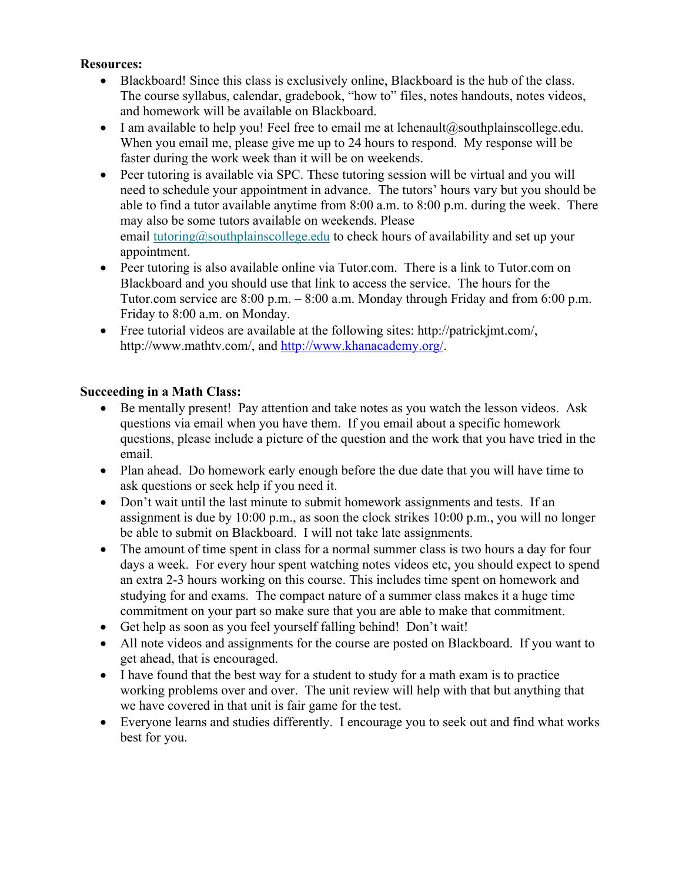#### **Resources:**

- Blackboard! Since this class is exclusively online, Blackboard is the hub of the class. The course syllabus, calendar, gradebook, "how to" files, notes handouts, notes videos, and homework will be available on Blackboard.
- I am available to help you! Feel free to email me at lchenault@southplainscollege.edu. When you email me, please give me up to 24 hours to respond. My response will be faster during the work week than it will be on weekends.
- Peer tutoring is available via SPC. These tutoring session will be virtual and you will need to schedule your appointment in advance. The tutors' hours vary but you should be able to find a tutor available anytime from 8:00 a.m. to 8:00 p.m. during the week. There may also be some tutors available on weekends. Please email [tutoring@southplainscollege.edu](mailto:tutoring@southplainscollege.edu) to check hours of availability and set up your appointment.
- Peer tutoring is also available online via Tutor.com. There is a link to Tutor.com on Blackboard and you should use that link to access the service. The hours for the Tutor.com service are 8:00 p.m. – 8:00 a.m. Monday through Friday and from 6:00 p.m. Friday to 8:00 a.m. on Monday.
- Free tutorial videos are available at the following sites: http://patrickjmt.com/, http://www.mathtv.com/, and [http://www.khanacademy.org/.](http://www.khanacademy.org/)

## **Succeeding in a Math Class:**

- Be mentally present! Pay attention and take notes as you watch the lesson videos. Ask questions via email when you have them. If you email about a specific homework questions, please include a picture of the question and the work that you have tried in the email.
- Plan ahead. Do homework early enough before the due date that you will have time to ask questions or seek help if you need it.
- Don't wait until the last minute to submit homework assignments and tests. If an assignment is due by 10:00 p.m., as soon the clock strikes 10:00 p.m., you will no longer be able to submit on Blackboard. I will not take late assignments.
- The amount of time spent in class for a normal summer class is two hours a day for four days a week. For every hour spent watching notes videos etc, you should expect to spend an extra 2-3 hours working on this course. This includes time spent on homework and studying for and exams. The compact nature of a summer class makes it a huge time commitment on your part so make sure that you are able to make that commitment.
- Get help as soon as you feel yourself falling behind! Don't wait!
- All note videos and assignments for the course are posted on Blackboard. If you want to get ahead, that is encouraged.
- I have found that the best way for a student to study for a math exam is to practice working problems over and over. The unit review will help with that but anything that we have covered in that unit is fair game for the test.
- Everyone learns and studies differently. I encourage you to seek out and find what works best for you.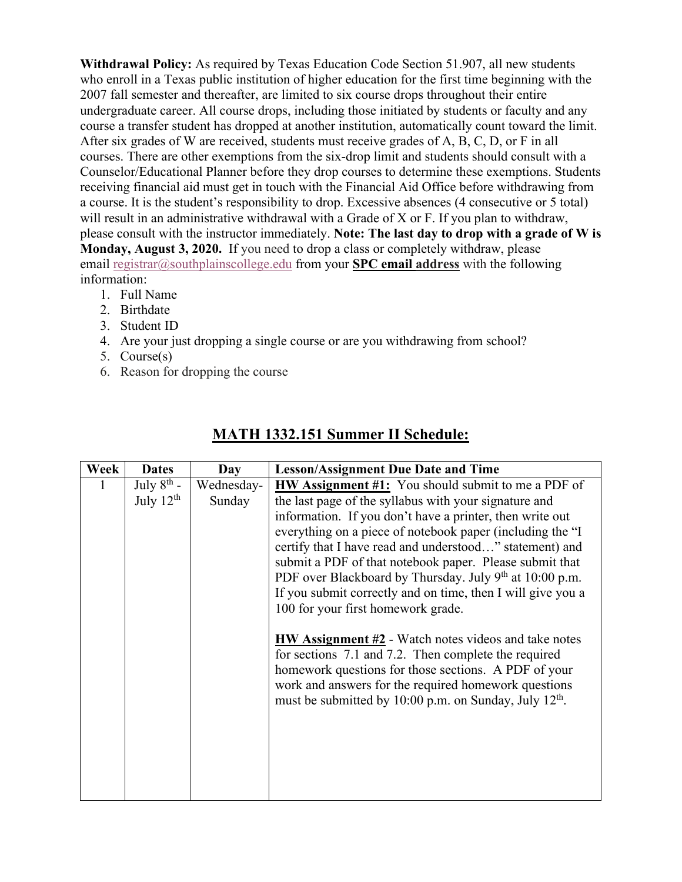**Withdrawal Policy:** As required by Texas Education Code Section 51.907, all new students who enroll in a Texas public institution of higher education for the first time beginning with the 2007 fall semester and thereafter, are limited to six course drops throughout their entire undergraduate career. All course drops, including those initiated by students or faculty and any course a transfer student has dropped at another institution, automatically count toward the limit. After six grades of W are received, students must receive grades of A, B, C, D, or F in all courses. There are other exemptions from the six-drop limit and students should consult with a Counselor/Educational Planner before they drop courses to determine these exemptions. Students receiving financial aid must get in touch with the Financial Aid Office before withdrawing from a course. It is the student's responsibility to drop. Excessive absences (4 consecutive or 5 total) will result in an administrative withdrawal with a Grade of X or F. If you plan to withdraw, please consult with the instructor immediately. **Note: The last day to drop with a grade of W is Monday, August 3, 2020.** If you need to drop a class or completely withdraw, please email [registrar@southplainscollege.edu](mailto:registrar@southplainscollege.edu) from your **SPC email address** with the following information:

- 1. Full Name
- 2. Birthdate
- 3. Student ID
- 4. Are your just dropping a single course or are you withdrawing from school?
- 5. Course(s)
- 6. Reason for dropping the course

| Week | <b>Dates</b>                      | Day                  | <b>Lesson/Assignment Due Date and Time</b>                                                                                                                                                                                                                                                                                                      |
|------|-----------------------------------|----------------------|-------------------------------------------------------------------------------------------------------------------------------------------------------------------------------------------------------------------------------------------------------------------------------------------------------------------------------------------------|
| 1    | July $8^{th}$ -<br>July $12^{th}$ | Wednesday-<br>Sunday | <b>HW Assignment #1:</b> You should submit to me a PDF of<br>the last page of the syllabus with your signature and<br>information. If you don't have a printer, then write out                                                                                                                                                                  |
|      |                                   |                      | everything on a piece of notebook paper (including the "I<br>certify that I have read and understood" statement) and<br>submit a PDF of that notebook paper. Please submit that<br>PDF over Blackboard by Thursday. July 9th at 10:00 p.m.<br>If you submit correctly and on time, then I will give you a<br>100 for your first homework grade. |
|      |                                   |                      | <b>HW</b> Assignment #2 - Watch notes videos and take notes<br>for sections 7.1 and 7.2. Then complete the required<br>homework questions for those sections. A PDF of your<br>work and answers for the required homework questions<br>must be submitted by 10:00 p.m. on Sunday, July 12 <sup>th</sup> .                                       |
|      |                                   |                      |                                                                                                                                                                                                                                                                                                                                                 |

# **MATH 1332.151 Summer II Schedule:**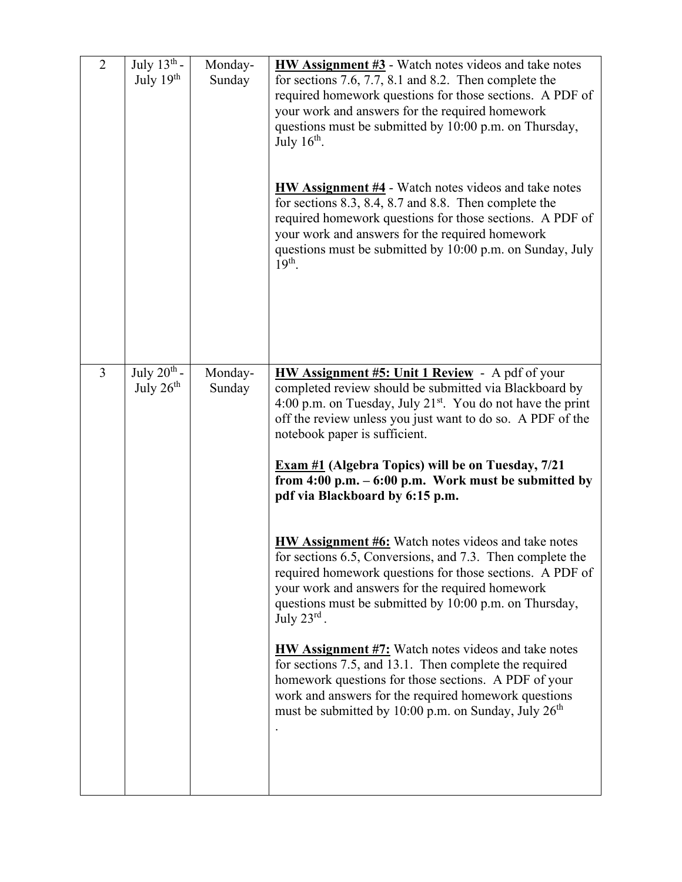| $\overline{2}$ | July $13^{th}$ -<br>July 19th | Monday-<br>Sunday | $HW$ Assignment #3 - Watch notes videos and take notes<br>for sections 7.6, 7.7, 8.1 and 8.2. Then complete the<br>required homework questions for those sections. A PDF of<br>your work and answers for the required homework<br>questions must be submitted by 10:00 p.m. on Thursday,<br>July $16th$ .<br><b>HW Assignment #4</b> - Watch notes videos and take notes<br>for sections $8.3$ , $8.4$ , $8.7$ and $8.8$ . Then complete the<br>required homework questions for those sections. A PDF of<br>your work and answers for the required homework<br>questions must be submitted by 10:00 p.m. on Sunday, July<br>$19th$ .                                                                                                                                                                                                                                                                                                                                                                                                                                                            |
|----------------|-------------------------------|-------------------|-------------------------------------------------------------------------------------------------------------------------------------------------------------------------------------------------------------------------------------------------------------------------------------------------------------------------------------------------------------------------------------------------------------------------------------------------------------------------------------------------------------------------------------------------------------------------------------------------------------------------------------------------------------------------------------------------------------------------------------------------------------------------------------------------------------------------------------------------------------------------------------------------------------------------------------------------------------------------------------------------------------------------------------------------------------------------------------------------|
| $\overline{3}$ | July $20th$ -<br>July $26th$  | Monday-<br>Sunday | <b>HW Assignment #5: Unit 1 Review</b> - A pdf of your<br>completed review should be submitted via Blackboard by<br>4:00 p.m. on Tuesday, July 21 <sup>st</sup> . You do not have the print<br>off the review unless you just want to do so. A PDF of the<br>notebook paper is sufficient.<br><b>Exam #1 (Algebra Topics) will be on Tuesday, 7/21</b><br>from $4:00$ p.m. $-6:00$ p.m. Work must be submitted by<br>pdf via Blackboard by 6:15 p.m.<br><b>HW Assignment #6:</b> Watch notes videos and take notes<br>for sections 6.5, Conversions, and 7.3. Then complete the<br>required homework questions for those sections. A PDF of<br>your work and answers for the required homework<br>questions must be submitted by 10:00 p.m. on Thursday,<br>July $23^{\text{rd}}$ .<br><b>HW Assignment #7:</b> Watch notes videos and take notes<br>for sections 7.5, and 13.1. Then complete the required<br>homework questions for those sections. A PDF of your<br>work and answers for the required homework questions<br>must be submitted by 10:00 p.m. on Sunday, July 26 <sup>th</sup> |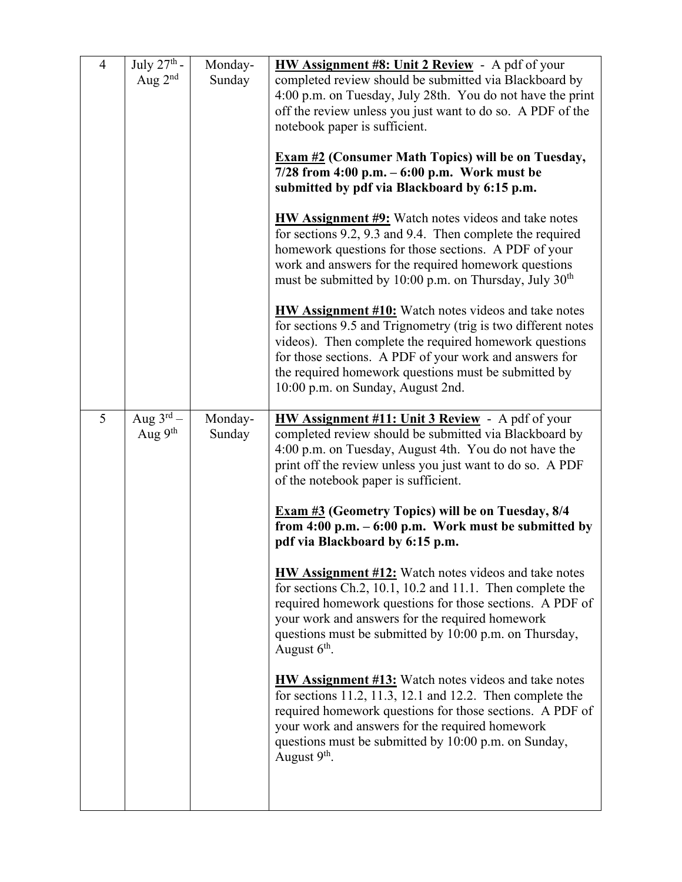| $\overline{4}$ | July $27^{\text{th}}$ -<br>Aug $2^{nd}$ | Monday-<br>Sunday | HW Assignment #8: Unit 2 Review - A pdf of your<br>completed review should be submitted via Blackboard by<br>4:00 p.m. on Tuesday, July 28th. You do not have the print<br>off the review unless you just want to do so. A PDF of the<br>notebook paper is sufficient.<br><b>Exam #2 (Consumer Math Topics) will be on Tuesday,</b><br>$7/28$ from 4:00 p.m. $-6:00$ p.m. Work must be<br>submitted by pdf via Blackboard by 6:15 p.m.<br><b>HW Assignment #9:</b> Watch notes videos and take notes<br>for sections 9.2, 9.3 and 9.4. Then complete the required<br>homework questions for those sections. A PDF of your<br>work and answers for the required homework questions<br>must be submitted by 10:00 p.m. on Thursday, July 30 <sup>th</sup><br><b>HW Assignment #10:</b> Watch notes videos and take notes<br>for sections 9.5 and Trignometry (trig is two different notes<br>videos). Then complete the required homework questions<br>for those sections. A PDF of your work and answers for<br>the required homework questions must be submitted by<br>10:00 p.m. on Sunday, August 2nd. |
|----------------|-----------------------------------------|-------------------|----------------------------------------------------------------------------------------------------------------------------------------------------------------------------------------------------------------------------------------------------------------------------------------------------------------------------------------------------------------------------------------------------------------------------------------------------------------------------------------------------------------------------------------------------------------------------------------------------------------------------------------------------------------------------------------------------------------------------------------------------------------------------------------------------------------------------------------------------------------------------------------------------------------------------------------------------------------------------------------------------------------------------------------------------------------------------------------------------------|
| 5              | Aug $3^{\text{rd}}$ –<br>Aug 9th        | Monday-<br>Sunday | <b>HW Assignment #11: Unit 3 Review</b> - A pdf of your<br>completed review should be submitted via Blackboard by<br>4:00 p.m. on Tuesday, August 4th. You do not have the<br>print off the review unless you just want to do so. A PDF<br>of the notebook paper is sufficient.<br><b>Exam #3</b> (Geometry Topics) will be on Tuesday, 8/4<br>from $4:00$ p.m. $-6:00$ p.m. Work must be submitted by<br>pdf via Blackboard by 6:15 p.m.<br><b>HW Assignment #12:</b> Watch notes videos and take notes<br>for sections Ch.2, 10.1, 10.2 and 11.1. Then complete the<br>required homework questions for those sections. A PDF of<br>your work and answers for the required homework<br>questions must be submitted by 10:00 p.m. on Thursday,<br>August $6th$ .<br>HW Assignment #13: Watch notes videos and take notes<br>for sections $11.2$ , $11.3$ , $12.1$ and $12.2$ . Then complete the<br>required homework questions for those sections. A PDF of<br>your work and answers for the required homework<br>questions must be submitted by 10:00 p.m. on Sunday,<br>August 9 <sup>th</sup> .      |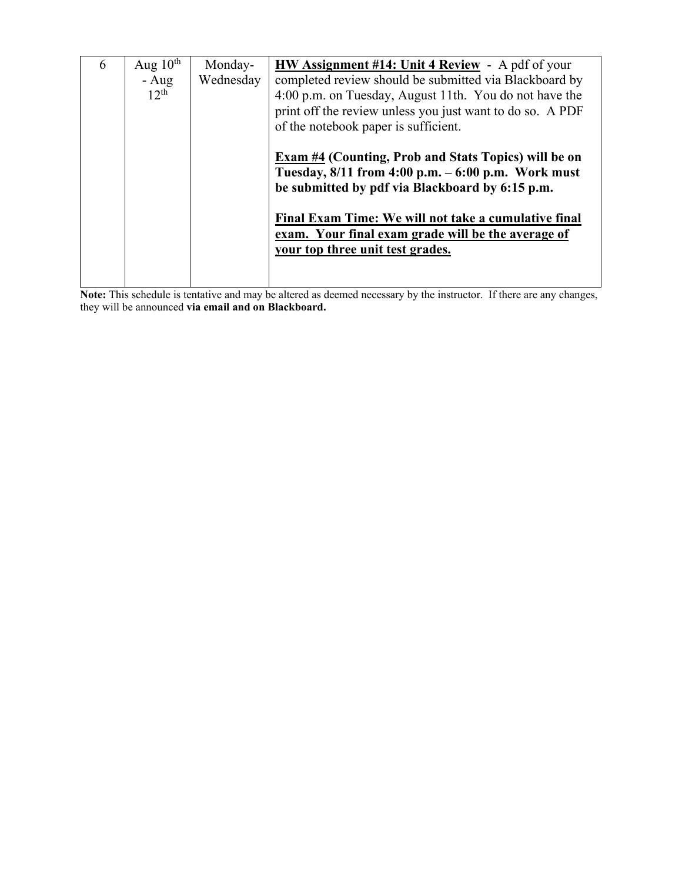| 6 | Aug $10^{\text{th}}$ | Monday-   | <b>HW Assignment #14: Unit 4 Review</b> - A pdf of your                                                    |
|---|----------------------|-----------|------------------------------------------------------------------------------------------------------------|
|   | $- Aug$              | Wednesday | completed review should be submitted via Blackboard by                                                     |
|   | $12^{th}$            |           | 4:00 p.m. on Tuesday, August 11th. You do not have the                                                     |
|   |                      |           | print off the review unless you just want to do so. A PDF                                                  |
|   |                      |           | of the notebook paper is sufficient.                                                                       |
|   |                      |           | <b>Exam #4 (Counting, Prob and Stats Topics) will be on</b>                                                |
|   |                      |           | Tuesday, $8/11$ from $4:00$ p.m. $-6:00$ p.m. Work must                                                    |
|   |                      |           | be submitted by pdf via Blackboard by 6:15 p.m.                                                            |
|   |                      |           | Final Exam Time: We will not take a cumulative final<br>exam. Your final exam grade will be the average of |
|   |                      |           | your top three unit test grades.                                                                           |
|   |                      |           |                                                                                                            |
|   |                      |           |                                                                                                            |

**Note:** This schedule is tentative and may be altered as deemed necessary by the instructor. If there are any changes, they will be announced **via email and on Blackboard.**